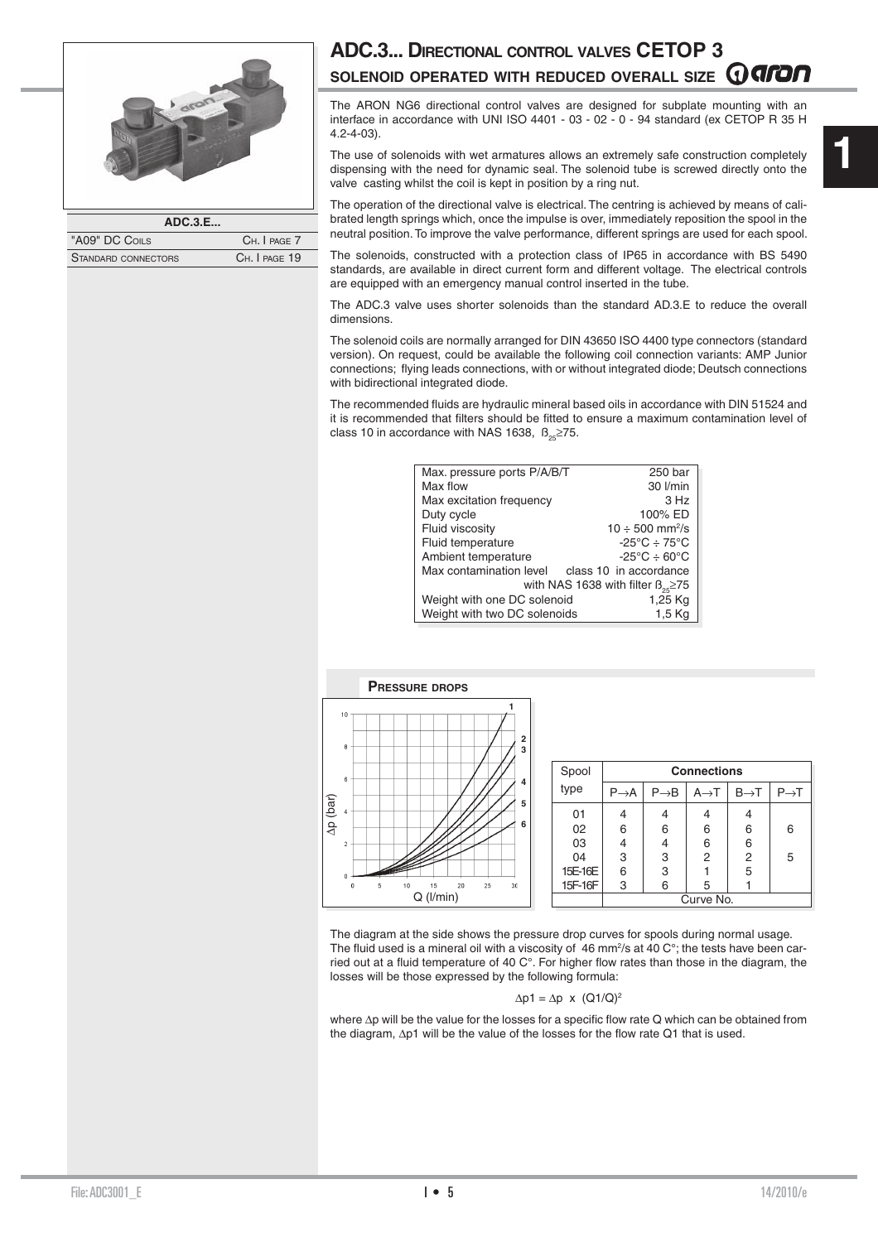

| ADC.3.E             |               |
|---------------------|---------------|
| "A09" DC COILS      | CH. I PAGE 7  |
| STANDARD CONNECTORS | CH. I PAGE 19 |

## **ADC.3... DIRECTIONAL CONTROL VALVES CETOP 3 SOLENOID OPERATED WITH REDUCED OVERALL SIZE Q AIDN**

The ARON NG6 directional control valves are designed for subplate mounting with an interface in accordance with UNI ISO 4401 - 03 - 02 - 0 - 94 standard (ex CETOP R 35 H  $(4.2 - 4 - 0.3)$ 

The use of solenoids with wet armatures allows an extremely safe construction completely dispensing with the need for dynamic seal. The solenoid tube is screwed directly onto the valve casting whilst the coil is kept in position by a ring nut.

The operation of the directional valve is electrical. The centring is achieved by means of calibrated length springs which, once the impulse is over, immediately reposition the spool in the neutral position. To improve the valve performance, different springs are used for each spool.

The solenoids, constructed with a protection class of IP65 in accordance with BS 5490 standards, are available in direct current form and different voltage. The electrical controls are equipped with an emergency manual control inserted in the tube.

The ADC.3 valve uses shorter solenoids than the standard AD.3.E to reduce the overall dimensions.

The solenoid coils are normally arranged for DIN 43650 ISO 4400 type connectors (standard version). On request, could be available the following coil connection variants: AMP Junior connections; fl ying leads connections, with or without integrated diode; Deutsch connections with bidirectional integrated diode.

The recommended fluids are hydraulic mineral based oils in accordance with DIN 51524 and it is recommended that filters should be fitted to ensure a maximum contamination level of class 10 in accordance with NAS 1638,  $B_{25} \ge 75$ .

| Max. pressure ports P/A/B/T               | 250 bar                                |  |
|-------------------------------------------|----------------------------------------|--|
| Max flow                                  | 30 l/min                               |  |
| Max excitation frequency                  | 3 Hz                                   |  |
| Duty cycle                                | 100% ED                                |  |
| Fluid viscosity                           | $10 \div 500$ mm <sup>2</sup> /s       |  |
| Fluid temperature                         | $-25^{\circ}$ C $\div$ 75 $^{\circ}$ C |  |
| Ambient temperature                       | $-25^{\circ}$ C $\div$ 60 $^{\circ}$ C |  |
| Max contamination level                   | class 10 in accordance                 |  |
| with NAS 1638 with filter $B_{25} \ge 75$ |                                        |  |
| Weight with one DC solenoid               | 1,25 Kg                                |  |
| Weight with two DC solenoids              | 1,5 Kg                                 |  |
|                                           |                                        |  |



The diagram at the side shows the pressure drop curves for spools during normal usage. The fluid used is a mineral oil with a viscosity of  $46$  mm<sup>2</sup>/s at  $40$  C°; the tests have been carried out at a fluid temperature of 40  $C^{\circ}$ . For higher flow rates than those in the diagram, the losses will be those expressed by the following formula:

$$
\Delta p1 = \Delta p \times (Q1/Q)^2
$$

where ∆p will be the value for the losses for a specific flow rate Q which can be obtained from the diagram, ∆p1 will be the value of the losses for the flow rate Q1 that is used.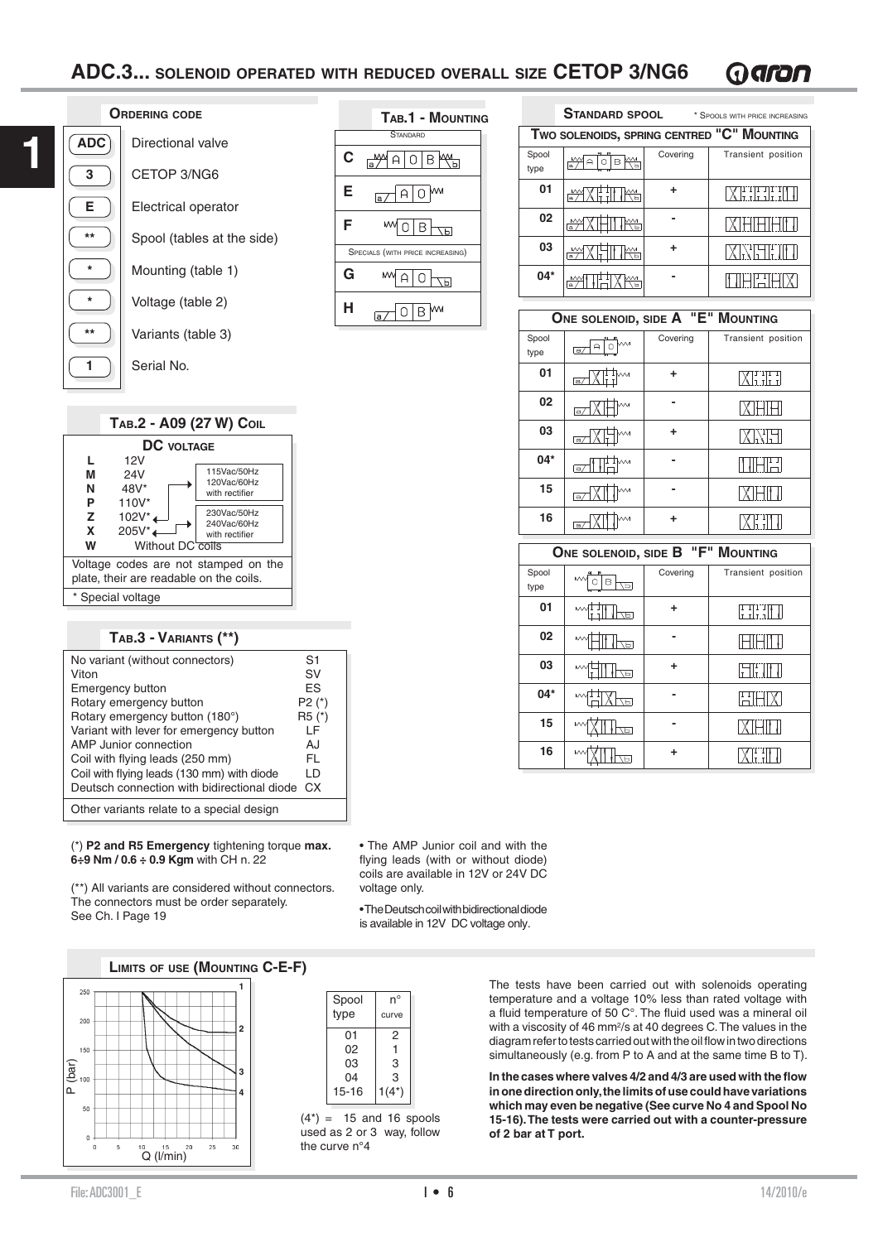**TAB.1 - MOUNTING**

**STANDARD** 

 $MADBB$ 

 $7770$  M

™∣A∣

 $\overline{a}$ 

 $MOP$ 

 $0|B|$ <sup>M</sup>

 $\boxed{0}$ 



| Other variants relate to a special design |  |
|-------------------------------------------|--|
|-------------------------------------------|--|

(\*) **P2 and R5 Emergency** tightening torque **max. 6÷9 Nm / 0.6 ÷ 0.9 Kgm** with CH n. 22

(\*\*) All variants are considered without connectors. The connectors must be order separately. See Ch. I Page 19

## **LIMITS OF USE (MOUNTING C-E-F)**





voltage only.

 $(4^*) = 15$  and 16 spools used as 2 or 3 way, follow the curve n°4

The tests have been carried out with solenoids operating temperature and a voltage 10% less than rated voltage with a fluid temperature of 50 C°. The fluid used was a mineral oil with a viscosity of 46 mm<sup>2</sup>/s at 40 degrees C. The values in the diagram refer to tests carried out with the oil flow in two directions simultaneously (e.g. from P to A and at the same time B to T).

In the cases where valves 4/2 and 4/3 are used with the flow **in one direction only, the limits of use could have variations which may even be negative (See curve No 4 and Spool No 15-16). The tests were carried out with a counter-pressure of 2 bar at T port.**

| <b>STANDARD SPOOL</b><br>* SPOOLS WITH PRICE INCREASING |              |          |                    |
|---------------------------------------------------------|--------------|----------|--------------------|
| TWO SOLENOIDS, SPRING CENTRED "C" MOUNTING              |              |          |                    |
| Spool<br>type                                           | в            | Covering | Transient position |
| 01                                                      | ᇹ            |          |                    |
| 02                                                      | $\mathsf{M}$ |          |                    |
| 03                                                      |              |          | XIVILIT.           |
| 04*                                                     | M            |          |                    |

| ONE SOLENOID, SIDE A "E" MOUNTING |                            |          |                    |
|-----------------------------------|----------------------------|----------|--------------------|
| Spool<br>type                     | o $\mathbb{M}$<br>A<br>la/ | Covering | Transient position |
| 01                                | lΜ<br>ſa,                  | ٠        | XII IFT            |
| 02                                | wм<br>$\overline{a}$       |          |                    |
| 03                                | $\sim$<br>a                | ٠        |                    |
| $04*$                             | Tmw<br>la,                 |          |                    |
| 15                                | w<br>$\overline{a}$        |          |                    |
| 16                                | a                          |          |                    |

| ONE SOLENOID, SIDE B "F" MOUNTING |                              |          |                    |
|-----------------------------------|------------------------------|----------|--------------------|
| Spool<br>type                     | <b>MV</b><br>в<br>$\sqrt{P}$ | Covering | Transient position |
| 01                                | $^{~}_{\sim}$<br>ᇹ           | ٠        |                    |
| 02                                | $\mathsf{M}$<br>Б            |          |                    |
| 03                                | $M\setminus$<br>ᇹ            | ٠        |                    |
| $04*$                             | $~\sim~$                     |          |                    |
| 15                                | MV.                          |          |                    |
| 16                                | MA.                          | ٠        |                    |

• The AMP Junior coil and with the flying leads (with or without diode) coils are available in 12V or 24V DC

• The Deutsch coil with bidirectional diode is available in 12V DC voltage only.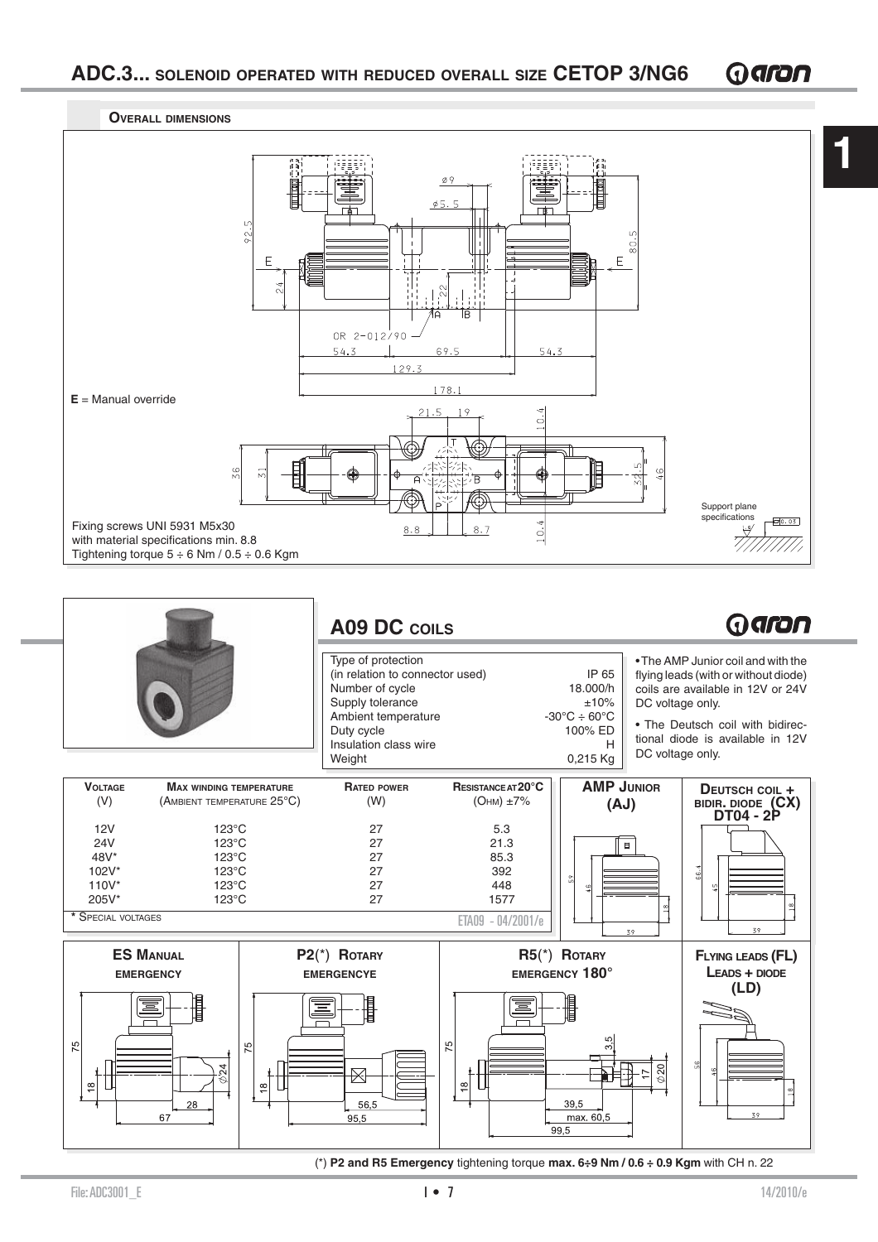

 $67$ 

 $\approx$ 

 $\frac{\infty}{\infty}$ 

 $\boxtimes$ 

.<br>95.5

56,5

 $\infty$ 

(\*) **P2 and R5 Emergency** tightening torque **max. 6÷9 Nm / 0.6 ÷ 0.9 Kgm** with CH n. 22

 $39,5$ 

99,5

max. 60,5

520

 $79$ 

**1**